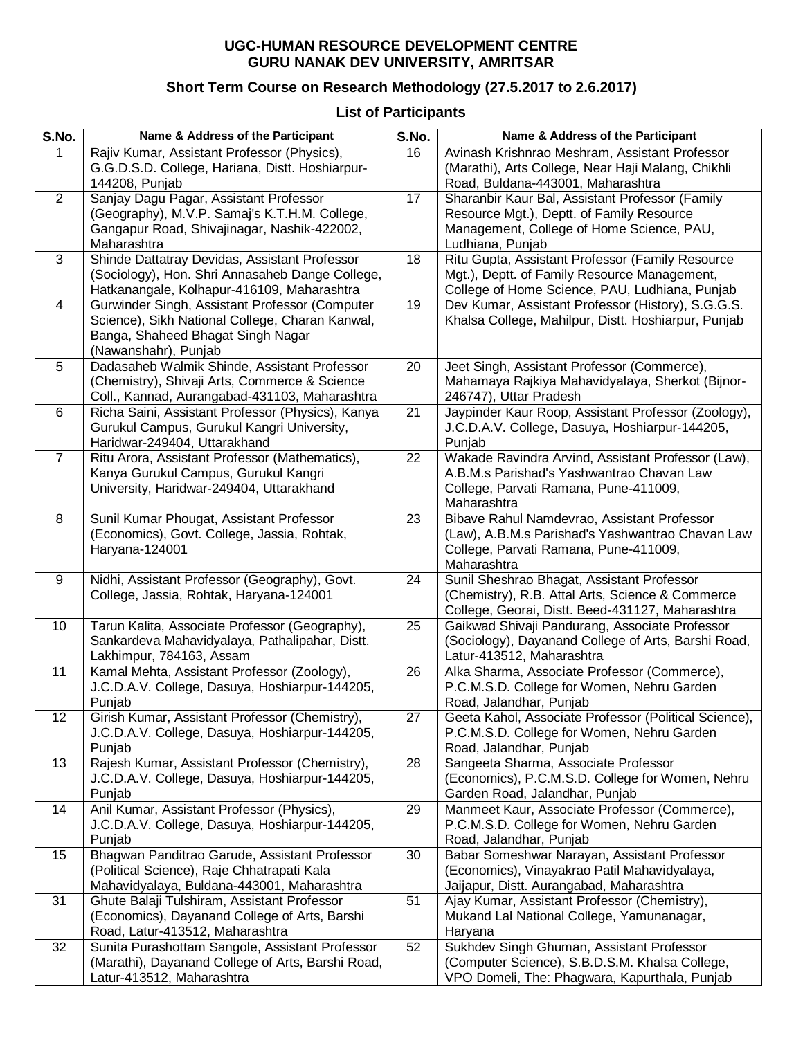## **UGC-HUMAN RESOURCE DEVELOPMENT CENTRE GURU NANAK DEV UNIVERSITY, AMRITSAR**

## **Short Term Course on Research Methodology (27.5.2017 to 2.6.2017)**

## **List of Participants**

| Rajiv Kumar, Assistant Professor (Physics),<br>16<br>1<br>G.G.D.S.D. College, Hariana, Distt. Hoshiarpur-<br>144208, Punjab<br>Road, Buldana-443001, Maharashtra<br>Sanjay Dagu Pagar, Assistant Professor<br>$\overline{2}$<br>17<br>Sharanbir Kaur Bal, Assistant Professor (Family<br>(Geography), M.V.P. Samaj's K.T.H.M. College,<br>Resource Mgt.), Deptt. of Family Resource<br>Gangapur Road, Shivajinagar, Nashik-422002,<br>Management, College of Home Science, PAU,<br>Maharashtra<br>Ludhiana, Punjab<br>3<br>Shinde Dattatray Devidas, Assistant Professor<br>18<br>Ritu Gupta, Assistant Professor (Family Resource<br>(Sociology), Hon. Shri Annasaheb Dange College,<br>Mgt.), Deptt. of Family Resource Management,<br>Hatkanangale, Kolhapur-416109, Maharashtra<br>College of Home Science, PAU, Ludhiana, Punjab<br>Gurwinder Singh, Assistant Professor (Computer<br>19<br>Dev Kumar, Assistant Professor (History), S.G.G.S.<br>4<br>Science), Sikh National College, Charan Kanwal,<br>Khalsa College, Mahilpur, Distt. Hoshiarpur, Punjab<br>Banga, Shaheed Bhagat Singh Nagar<br>(Nawanshahr), Punjab<br>Dadasaheb Walmik Shinde, Assistant Professor<br>Jeet Singh, Assistant Professor (Commerce),<br>5<br>20<br>(Chemistry), Shivaji Arts, Commerce & Science<br>Mahamaya Rajkiya Mahavidyalaya, Sherkot (Bijnor-<br>Coll., Kannad, Aurangabad-431103, Maharashtra<br>246747), Uttar Pradesh<br>Jaypinder Kaur Roop, Assistant Professor (Zoology),<br>Richa Saini, Assistant Professor (Physics), Kanya<br>21<br>6<br>Gurukul Campus, Gurukul Kangri University,<br>J.C.D.A.V. College, Dasuya, Hoshiarpur-144205,<br>Haridwar-249404, Uttarakhand<br>Punjab<br>Wakade Ravindra Arvind, Assistant Professor (Law),<br>Ritu Arora, Assistant Professor (Mathematics),<br>22<br>7<br>A.B.M.s Parishad's Yashwantrao Chavan Law<br>Kanya Gurukul Campus, Gurukul Kangri<br>University, Haridwar-249404, Uttarakhand<br>College, Parvati Ramana, Pune-411009,<br>Maharashtra<br>Sunil Kumar Phougat, Assistant Professor<br>Bibave Rahul Namdevrao, Assistant Professor<br>23<br>8<br>(Economics), Govt. College, Jassia, Rohtak, | S.No. | Name & Address of the Participant               | S.No. | Name & Address of the Participant                                                           |
|-------------------------------------------------------------------------------------------------------------------------------------------------------------------------------------------------------------------------------------------------------------------------------------------------------------------------------------------------------------------------------------------------------------------------------------------------------------------------------------------------------------------------------------------------------------------------------------------------------------------------------------------------------------------------------------------------------------------------------------------------------------------------------------------------------------------------------------------------------------------------------------------------------------------------------------------------------------------------------------------------------------------------------------------------------------------------------------------------------------------------------------------------------------------------------------------------------------------------------------------------------------------------------------------------------------------------------------------------------------------------------------------------------------------------------------------------------------------------------------------------------------------------------------------------------------------------------------------------------------------------------------------------------------------------------------------------------------------------------------------------------------------------------------------------------------------------------------------------------------------------------------------------------------------------------------------------------------------------------------------------------------------------------------------------------------------------------------------------------------------------------------------------------------|-------|-------------------------------------------------|-------|---------------------------------------------------------------------------------------------|
|                                                                                                                                                                                                                                                                                                                                                                                                                                                                                                                                                                                                                                                                                                                                                                                                                                                                                                                                                                                                                                                                                                                                                                                                                                                                                                                                                                                                                                                                                                                                                                                                                                                                                                                                                                                                                                                                                                                                                                                                                                                                                                                                                             |       |                                                 |       | Avinash Krishnrao Meshram, Assistant Professor                                              |
|                                                                                                                                                                                                                                                                                                                                                                                                                                                                                                                                                                                                                                                                                                                                                                                                                                                                                                                                                                                                                                                                                                                                                                                                                                                                                                                                                                                                                                                                                                                                                                                                                                                                                                                                                                                                                                                                                                                                                                                                                                                                                                                                                             |       |                                                 |       | (Marathi), Arts College, Near Haji Malang, Chikhli                                          |
|                                                                                                                                                                                                                                                                                                                                                                                                                                                                                                                                                                                                                                                                                                                                                                                                                                                                                                                                                                                                                                                                                                                                                                                                                                                                                                                                                                                                                                                                                                                                                                                                                                                                                                                                                                                                                                                                                                                                                                                                                                                                                                                                                             |       |                                                 |       |                                                                                             |
|                                                                                                                                                                                                                                                                                                                                                                                                                                                                                                                                                                                                                                                                                                                                                                                                                                                                                                                                                                                                                                                                                                                                                                                                                                                                                                                                                                                                                                                                                                                                                                                                                                                                                                                                                                                                                                                                                                                                                                                                                                                                                                                                                             |       |                                                 |       |                                                                                             |
|                                                                                                                                                                                                                                                                                                                                                                                                                                                                                                                                                                                                                                                                                                                                                                                                                                                                                                                                                                                                                                                                                                                                                                                                                                                                                                                                                                                                                                                                                                                                                                                                                                                                                                                                                                                                                                                                                                                                                                                                                                                                                                                                                             |       |                                                 |       |                                                                                             |
|                                                                                                                                                                                                                                                                                                                                                                                                                                                                                                                                                                                                                                                                                                                                                                                                                                                                                                                                                                                                                                                                                                                                                                                                                                                                                                                                                                                                                                                                                                                                                                                                                                                                                                                                                                                                                                                                                                                                                                                                                                                                                                                                                             |       |                                                 |       |                                                                                             |
|                                                                                                                                                                                                                                                                                                                                                                                                                                                                                                                                                                                                                                                                                                                                                                                                                                                                                                                                                                                                                                                                                                                                                                                                                                                                                                                                                                                                                                                                                                                                                                                                                                                                                                                                                                                                                                                                                                                                                                                                                                                                                                                                                             |       |                                                 |       |                                                                                             |
|                                                                                                                                                                                                                                                                                                                                                                                                                                                                                                                                                                                                                                                                                                                                                                                                                                                                                                                                                                                                                                                                                                                                                                                                                                                                                                                                                                                                                                                                                                                                                                                                                                                                                                                                                                                                                                                                                                                                                                                                                                                                                                                                                             |       |                                                 |       |                                                                                             |
|                                                                                                                                                                                                                                                                                                                                                                                                                                                                                                                                                                                                                                                                                                                                                                                                                                                                                                                                                                                                                                                                                                                                                                                                                                                                                                                                                                                                                                                                                                                                                                                                                                                                                                                                                                                                                                                                                                                                                                                                                                                                                                                                                             |       |                                                 |       |                                                                                             |
|                                                                                                                                                                                                                                                                                                                                                                                                                                                                                                                                                                                                                                                                                                                                                                                                                                                                                                                                                                                                                                                                                                                                                                                                                                                                                                                                                                                                                                                                                                                                                                                                                                                                                                                                                                                                                                                                                                                                                                                                                                                                                                                                                             |       |                                                 |       |                                                                                             |
|                                                                                                                                                                                                                                                                                                                                                                                                                                                                                                                                                                                                                                                                                                                                                                                                                                                                                                                                                                                                                                                                                                                                                                                                                                                                                                                                                                                                                                                                                                                                                                                                                                                                                                                                                                                                                                                                                                                                                                                                                                                                                                                                                             |       |                                                 |       |                                                                                             |
|                                                                                                                                                                                                                                                                                                                                                                                                                                                                                                                                                                                                                                                                                                                                                                                                                                                                                                                                                                                                                                                                                                                                                                                                                                                                                                                                                                                                                                                                                                                                                                                                                                                                                                                                                                                                                                                                                                                                                                                                                                                                                                                                                             |       |                                                 |       |                                                                                             |
|                                                                                                                                                                                                                                                                                                                                                                                                                                                                                                                                                                                                                                                                                                                                                                                                                                                                                                                                                                                                                                                                                                                                                                                                                                                                                                                                                                                                                                                                                                                                                                                                                                                                                                                                                                                                                                                                                                                                                                                                                                                                                                                                                             |       |                                                 |       |                                                                                             |
|                                                                                                                                                                                                                                                                                                                                                                                                                                                                                                                                                                                                                                                                                                                                                                                                                                                                                                                                                                                                                                                                                                                                                                                                                                                                                                                                                                                                                                                                                                                                                                                                                                                                                                                                                                                                                                                                                                                                                                                                                                                                                                                                                             |       |                                                 |       |                                                                                             |
|                                                                                                                                                                                                                                                                                                                                                                                                                                                                                                                                                                                                                                                                                                                                                                                                                                                                                                                                                                                                                                                                                                                                                                                                                                                                                                                                                                                                                                                                                                                                                                                                                                                                                                                                                                                                                                                                                                                                                                                                                                                                                                                                                             |       |                                                 |       |                                                                                             |
|                                                                                                                                                                                                                                                                                                                                                                                                                                                                                                                                                                                                                                                                                                                                                                                                                                                                                                                                                                                                                                                                                                                                                                                                                                                                                                                                                                                                                                                                                                                                                                                                                                                                                                                                                                                                                                                                                                                                                                                                                                                                                                                                                             |       |                                                 |       |                                                                                             |
|                                                                                                                                                                                                                                                                                                                                                                                                                                                                                                                                                                                                                                                                                                                                                                                                                                                                                                                                                                                                                                                                                                                                                                                                                                                                                                                                                                                                                                                                                                                                                                                                                                                                                                                                                                                                                                                                                                                                                                                                                                                                                                                                                             |       |                                                 |       |                                                                                             |
|                                                                                                                                                                                                                                                                                                                                                                                                                                                                                                                                                                                                                                                                                                                                                                                                                                                                                                                                                                                                                                                                                                                                                                                                                                                                                                                                                                                                                                                                                                                                                                                                                                                                                                                                                                                                                                                                                                                                                                                                                                                                                                                                                             |       |                                                 |       |                                                                                             |
|                                                                                                                                                                                                                                                                                                                                                                                                                                                                                                                                                                                                                                                                                                                                                                                                                                                                                                                                                                                                                                                                                                                                                                                                                                                                                                                                                                                                                                                                                                                                                                                                                                                                                                                                                                                                                                                                                                                                                                                                                                                                                                                                                             |       |                                                 |       |                                                                                             |
|                                                                                                                                                                                                                                                                                                                                                                                                                                                                                                                                                                                                                                                                                                                                                                                                                                                                                                                                                                                                                                                                                                                                                                                                                                                                                                                                                                                                                                                                                                                                                                                                                                                                                                                                                                                                                                                                                                                                                                                                                                                                                                                                                             |       |                                                 |       |                                                                                             |
|                                                                                                                                                                                                                                                                                                                                                                                                                                                                                                                                                                                                                                                                                                                                                                                                                                                                                                                                                                                                                                                                                                                                                                                                                                                                                                                                                                                                                                                                                                                                                                                                                                                                                                                                                                                                                                                                                                                                                                                                                                                                                                                                                             |       |                                                 |       |                                                                                             |
|                                                                                                                                                                                                                                                                                                                                                                                                                                                                                                                                                                                                                                                                                                                                                                                                                                                                                                                                                                                                                                                                                                                                                                                                                                                                                                                                                                                                                                                                                                                                                                                                                                                                                                                                                                                                                                                                                                                                                                                                                                                                                                                                                             |       |                                                 |       |                                                                                             |
|                                                                                                                                                                                                                                                                                                                                                                                                                                                                                                                                                                                                                                                                                                                                                                                                                                                                                                                                                                                                                                                                                                                                                                                                                                                                                                                                                                                                                                                                                                                                                                                                                                                                                                                                                                                                                                                                                                                                                                                                                                                                                                                                                             |       |                                                 |       |                                                                                             |
|                                                                                                                                                                                                                                                                                                                                                                                                                                                                                                                                                                                                                                                                                                                                                                                                                                                                                                                                                                                                                                                                                                                                                                                                                                                                                                                                                                                                                                                                                                                                                                                                                                                                                                                                                                                                                                                                                                                                                                                                                                                                                                                                                             |       |                                                 |       |                                                                                             |
|                                                                                                                                                                                                                                                                                                                                                                                                                                                                                                                                                                                                                                                                                                                                                                                                                                                                                                                                                                                                                                                                                                                                                                                                                                                                                                                                                                                                                                                                                                                                                                                                                                                                                                                                                                                                                                                                                                                                                                                                                                                                                                                                                             |       |                                                 |       | (Law), A.B.M.s Parishad's Yashwantrao Chavan Law                                            |
| Haryana-124001<br>College, Parvati Ramana, Pune-411009,                                                                                                                                                                                                                                                                                                                                                                                                                                                                                                                                                                                                                                                                                                                                                                                                                                                                                                                                                                                                                                                                                                                                                                                                                                                                                                                                                                                                                                                                                                                                                                                                                                                                                                                                                                                                                                                                                                                                                                                                                                                                                                     |       |                                                 |       |                                                                                             |
| Maharashtra                                                                                                                                                                                                                                                                                                                                                                                                                                                                                                                                                                                                                                                                                                                                                                                                                                                                                                                                                                                                                                                                                                                                                                                                                                                                                                                                                                                                                                                                                                                                                                                                                                                                                                                                                                                                                                                                                                                                                                                                                                                                                                                                                 |       |                                                 |       |                                                                                             |
| Sunil Sheshrao Bhagat, Assistant Professor<br>9<br>Nidhi, Assistant Professor (Geography), Govt.<br>24                                                                                                                                                                                                                                                                                                                                                                                                                                                                                                                                                                                                                                                                                                                                                                                                                                                                                                                                                                                                                                                                                                                                                                                                                                                                                                                                                                                                                                                                                                                                                                                                                                                                                                                                                                                                                                                                                                                                                                                                                                                      |       |                                                 |       |                                                                                             |
| College, Jassia, Rohtak, Haryana-124001                                                                                                                                                                                                                                                                                                                                                                                                                                                                                                                                                                                                                                                                                                                                                                                                                                                                                                                                                                                                                                                                                                                                                                                                                                                                                                                                                                                                                                                                                                                                                                                                                                                                                                                                                                                                                                                                                                                                                                                                                                                                                                                     |       |                                                 |       | (Chemistry), R.B. Attal Arts, Science & Commerce                                            |
|                                                                                                                                                                                                                                                                                                                                                                                                                                                                                                                                                                                                                                                                                                                                                                                                                                                                                                                                                                                                                                                                                                                                                                                                                                                                                                                                                                                                                                                                                                                                                                                                                                                                                                                                                                                                                                                                                                                                                                                                                                                                                                                                                             |       |                                                 |       | College, Georai, Distt. Beed-431127, Maharashtra                                            |
| Tarun Kalita, Associate Professor (Geography),<br>10<br>25                                                                                                                                                                                                                                                                                                                                                                                                                                                                                                                                                                                                                                                                                                                                                                                                                                                                                                                                                                                                                                                                                                                                                                                                                                                                                                                                                                                                                                                                                                                                                                                                                                                                                                                                                                                                                                                                                                                                                                                                                                                                                                  |       |                                                 |       | Gaikwad Shivaji Pandurang, Associate Professor                                              |
| Sankardeva Mahavidyalaya, Pathalipahar, Distt.<br>Lakhimpur, 784163, Assam<br>Latur-413512, Maharashtra                                                                                                                                                                                                                                                                                                                                                                                                                                                                                                                                                                                                                                                                                                                                                                                                                                                                                                                                                                                                                                                                                                                                                                                                                                                                                                                                                                                                                                                                                                                                                                                                                                                                                                                                                                                                                                                                                                                                                                                                                                                     |       |                                                 |       | (Sociology), Dayanand College of Arts, Barshi Road,                                         |
| Kamal Mehta, Assistant Professor (Zoology),<br>Alka Sharma, Associate Professor (Commerce),<br>11<br>26                                                                                                                                                                                                                                                                                                                                                                                                                                                                                                                                                                                                                                                                                                                                                                                                                                                                                                                                                                                                                                                                                                                                                                                                                                                                                                                                                                                                                                                                                                                                                                                                                                                                                                                                                                                                                                                                                                                                                                                                                                                     |       |                                                 |       |                                                                                             |
| J.C.D.A.V. College, Dasuya, Hoshiarpur-144205,<br>P.C.M.S.D. College for Women, Nehru Garden                                                                                                                                                                                                                                                                                                                                                                                                                                                                                                                                                                                                                                                                                                                                                                                                                                                                                                                                                                                                                                                                                                                                                                                                                                                                                                                                                                                                                                                                                                                                                                                                                                                                                                                                                                                                                                                                                                                                                                                                                                                                |       |                                                 |       |                                                                                             |
| Road, Jalandhar, Punjab<br>Punjab                                                                                                                                                                                                                                                                                                                                                                                                                                                                                                                                                                                                                                                                                                                                                                                                                                                                                                                                                                                                                                                                                                                                                                                                                                                                                                                                                                                                                                                                                                                                                                                                                                                                                                                                                                                                                                                                                                                                                                                                                                                                                                                           |       |                                                 |       |                                                                                             |
| 12<br>Girish Kumar, Assistant Professor (Chemistry),<br>27                                                                                                                                                                                                                                                                                                                                                                                                                                                                                                                                                                                                                                                                                                                                                                                                                                                                                                                                                                                                                                                                                                                                                                                                                                                                                                                                                                                                                                                                                                                                                                                                                                                                                                                                                                                                                                                                                                                                                                                                                                                                                                  |       |                                                 |       | Geeta Kahol, Associate Professor (Political Science),                                       |
| P.C.M.S.D. College for Women, Nehru Garden<br>J.C.D.A.V. College, Dasuya, Hoshiarpur-144205,                                                                                                                                                                                                                                                                                                                                                                                                                                                                                                                                                                                                                                                                                                                                                                                                                                                                                                                                                                                                                                                                                                                                                                                                                                                                                                                                                                                                                                                                                                                                                                                                                                                                                                                                                                                                                                                                                                                                                                                                                                                                |       |                                                 |       |                                                                                             |
| Road, Jalandhar, Punjab<br>Punjab                                                                                                                                                                                                                                                                                                                                                                                                                                                                                                                                                                                                                                                                                                                                                                                                                                                                                                                                                                                                                                                                                                                                                                                                                                                                                                                                                                                                                                                                                                                                                                                                                                                                                                                                                                                                                                                                                                                                                                                                                                                                                                                           |       |                                                 |       |                                                                                             |
| Rajesh Kumar, Assistant Professor (Chemistry),<br>13<br>28<br>Sangeeta Sharma, Associate Professor                                                                                                                                                                                                                                                                                                                                                                                                                                                                                                                                                                                                                                                                                                                                                                                                                                                                                                                                                                                                                                                                                                                                                                                                                                                                                                                                                                                                                                                                                                                                                                                                                                                                                                                                                                                                                                                                                                                                                                                                                                                          |       |                                                 |       |                                                                                             |
| J.C.D.A.V. College, Dasuya, Hoshiarpur-144205,                                                                                                                                                                                                                                                                                                                                                                                                                                                                                                                                                                                                                                                                                                                                                                                                                                                                                                                                                                                                                                                                                                                                                                                                                                                                                                                                                                                                                                                                                                                                                                                                                                                                                                                                                                                                                                                                                                                                                                                                                                                                                                              |       |                                                 |       | (Economics), P.C.M.S.D. College for Women, Nehru                                            |
| Punjab<br>Garden Road, Jalandhar, Punjab                                                                                                                                                                                                                                                                                                                                                                                                                                                                                                                                                                                                                                                                                                                                                                                                                                                                                                                                                                                                                                                                                                                                                                                                                                                                                                                                                                                                                                                                                                                                                                                                                                                                                                                                                                                                                                                                                                                                                                                                                                                                                                                    |       |                                                 |       |                                                                                             |
| Anil Kumar, Assistant Professor (Physics),<br>14<br>29                                                                                                                                                                                                                                                                                                                                                                                                                                                                                                                                                                                                                                                                                                                                                                                                                                                                                                                                                                                                                                                                                                                                                                                                                                                                                                                                                                                                                                                                                                                                                                                                                                                                                                                                                                                                                                                                                                                                                                                                                                                                                                      |       |                                                 |       | Manmeet Kaur, Associate Professor (Commerce),                                               |
| P.C.M.S.D. College for Women, Nehru Garden<br>J.C.D.A.V. College, Dasuya, Hoshiarpur-144205,                                                                                                                                                                                                                                                                                                                                                                                                                                                                                                                                                                                                                                                                                                                                                                                                                                                                                                                                                                                                                                                                                                                                                                                                                                                                                                                                                                                                                                                                                                                                                                                                                                                                                                                                                                                                                                                                                                                                                                                                                                                                |       |                                                 |       |                                                                                             |
| Punjab<br>Road, Jalandhar, Punjab                                                                                                                                                                                                                                                                                                                                                                                                                                                                                                                                                                                                                                                                                                                                                                                                                                                                                                                                                                                                                                                                                                                                                                                                                                                                                                                                                                                                                                                                                                                                                                                                                                                                                                                                                                                                                                                                                                                                                                                                                                                                                                                           |       |                                                 |       |                                                                                             |
| Bhagwan Panditrao Garude, Assistant Professor<br>15<br>30                                                                                                                                                                                                                                                                                                                                                                                                                                                                                                                                                                                                                                                                                                                                                                                                                                                                                                                                                                                                                                                                                                                                                                                                                                                                                                                                                                                                                                                                                                                                                                                                                                                                                                                                                                                                                                                                                                                                                                                                                                                                                                   |       |                                                 |       | Babar Someshwar Narayan, Assistant Professor                                                |
| (Economics), Vinayakrao Patil Mahavidyalaya,<br>(Political Science), Raje Chhatrapati Kala                                                                                                                                                                                                                                                                                                                                                                                                                                                                                                                                                                                                                                                                                                                                                                                                                                                                                                                                                                                                                                                                                                                                                                                                                                                                                                                                                                                                                                                                                                                                                                                                                                                                                                                                                                                                                                                                                                                                                                                                                                                                  |       |                                                 |       |                                                                                             |
| Jaijapur, Distt. Aurangabad, Maharashtra<br>Mahavidyalaya, Buldana-443001, Maharashtra                                                                                                                                                                                                                                                                                                                                                                                                                                                                                                                                                                                                                                                                                                                                                                                                                                                                                                                                                                                                                                                                                                                                                                                                                                                                                                                                                                                                                                                                                                                                                                                                                                                                                                                                                                                                                                                                                                                                                                                                                                                                      |       |                                                 |       |                                                                                             |
|                                                                                                                                                                                                                                                                                                                                                                                                                                                                                                                                                                                                                                                                                                                                                                                                                                                                                                                                                                                                                                                                                                                                                                                                                                                                                                                                                                                                                                                                                                                                                                                                                                                                                                                                                                                                                                                                                                                                                                                                                                                                                                                                                             |       |                                                 |       |                                                                                             |
|                                                                                                                                                                                                                                                                                                                                                                                                                                                                                                                                                                                                                                                                                                                                                                                                                                                                                                                                                                                                                                                                                                                                                                                                                                                                                                                                                                                                                                                                                                                                                                                                                                                                                                                                                                                                                                                                                                                                                                                                                                                                                                                                                             | 31    | Ghute Balaji Tulshiram, Assistant Professor     | 51    | Ajay Kumar, Assistant Professor (Chemistry),                                                |
|                                                                                                                                                                                                                                                                                                                                                                                                                                                                                                                                                                                                                                                                                                                                                                                                                                                                                                                                                                                                                                                                                                                                                                                                                                                                                                                                                                                                                                                                                                                                                                                                                                                                                                                                                                                                                                                                                                                                                                                                                                                                                                                                                             |       | (Economics), Dayanand College of Arts, Barshi   |       | Mukand Lal National College, Yamunanagar,                                                   |
| (Marathi), Dayanand College of Arts, Barshi Road,                                                                                                                                                                                                                                                                                                                                                                                                                                                                                                                                                                                                                                                                                                                                                                                                                                                                                                                                                                                                                                                                                                                                                                                                                                                                                                                                                                                                                                                                                                                                                                                                                                                                                                                                                                                                                                                                                                                                                                                                                                                                                                           |       | Road, Latur-413512, Maharashtra                 |       | Haryana                                                                                     |
| Latur-413512, Maharashtra<br>VPO Domeli, The: Phagwara, Kapurthala, Punjab                                                                                                                                                                                                                                                                                                                                                                                                                                                                                                                                                                                                                                                                                                                                                                                                                                                                                                                                                                                                                                                                                                                                                                                                                                                                                                                                                                                                                                                                                                                                                                                                                                                                                                                                                                                                                                                                                                                                                                                                                                                                                  | 32    | Sunita Purashottam Sangole, Assistant Professor | 52    | Sukhdev Singh Ghuman, Assistant Professor<br>(Computer Science), S.B.D.S.M. Khalsa College, |